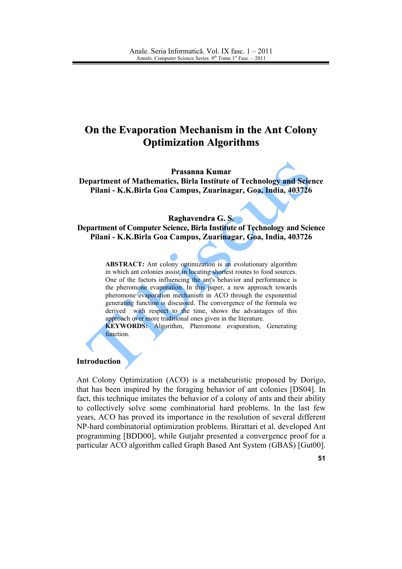# On the Evaporation Mechanism in the Ant Colony **Optimization Algorithms**

Prasanna Kumar

Department of Mathematics, Birla Institute of Technology and Science Pilani - K.K.Birla Goa Campus, Zuarinagar, Goa, India, 403726

#### Raghavendra G.S.

Department of Computer Science, Birla Institute of Technology and Science Pilani - K.K.Birla Goa Campus, Zuarinagar, Goa, India, 403726

> **ABSTRACT:** Ant colony optimization is an evolutionary algorithm in which ant colonies assist in locating shortest routes to food sources. One of the factors influencing the ant's behavior and performance is the pheromone evaporation. In this paper, a new approach towards pheromone evaporation mechanism in ACO through the exponential generating function is discussed. The convergence of the formula we derived with respect to the time, shows the advantages of this approach over more traditional ones given in the literature. **KEYWORDS:** Algorithm, Pheromone evaporation, Generating

function.

### **Introduction**

Ant Colony Optimization (ACO) is a metaheuristic proposed by Dorigo, that has been inspired by the foraging behavior of ant colonies [DS04]. In fact, this technique imitates the behavior of a colony of ants and their ability to collectively solve some combinatorial hard problems. In the last few years, ACO has proved its importance in the resolution of several different NP-hard combinatorial optimization problems. Birattari et al. developed Ant programming [BDD00], while Gutjahr presented a convergence proof for a particular ACO algorithm called Graph Based Ant System (GBAS) [Gut00].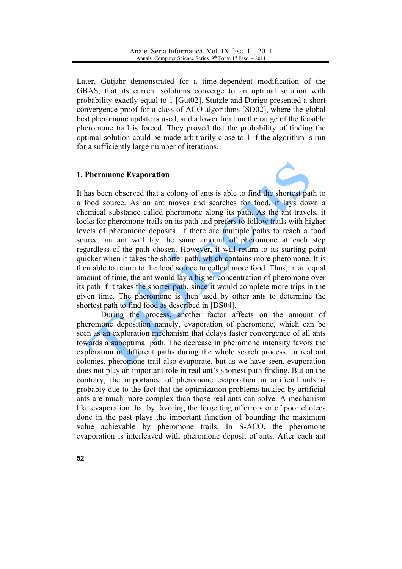Later, Gutjahr demonstrated for a time-dependent modification of the GBAS, that its current solutions converge to an optimal solution with probability exactly equal to 1 [Gut02]. Stutzle and Dorigo presented a short convergence proof for a class of ACO algorithms [SD02], where the global best pheromone update is used, and a lower limit on the range of the feasible pheromone trail is forced. They proved that the probability of finding the optimal solution could be made arbitrarily close to 1 if the algorithm is run for a sufficiently large number of iterations.

### 1. Pheromone Evaporation



It has been observed that a colony of ants is able to find the shortest path to a food source. As an ant moves and searches for food, it lays down a chemical substance called pheromone along its path. As the ant travels, it looks for pheromone trails on its path and prefers to follow trails with higher levels of pheromone deposits. If there are multiple paths to reach a food source, an ant will lay the same amount of pheromone at each step regardless of the path chosen. However, it will return to its starting point quicker when it takes the shorter path, which contains more pheromone. It is then able to return to the food source to collect more food. Thus, in an equal amount of time, the ant would lay a higher concentration of pheromone over its path if it takes the shorter path, since it would complete more trips in the given time. The pheromone is then used by other ants to determine the shortest path to find food as described in [DS04].

During the process, another factor affects on the amount of pheromone deposition namely, evaporation of pheromone, which can be seen as an exploration mechanism that delays faster convergence of all ants towards a suboptimal path. The decrease in pheromone intensity favors the exploration of different paths during the whole search process. In real ant colonies, pheromone trail also evaporate, but as we have seen, evaporation does not play an important role in real ant's shortest path finding. But on the contrary, the importance of pheromone evaporation in artificial ants is probably due to the fact that the optimization problems tackled by artificial ants are much more complex than those real ants can solve. A mechanism like evaporation that by favoring the forgetting of errors or of poor choices done in the past plays the important function of bounding the maximum value achievable by pheromone trails. In S-ACO, the pheromone evaporation is interleaved with pheromone deposit of ants. After each ant

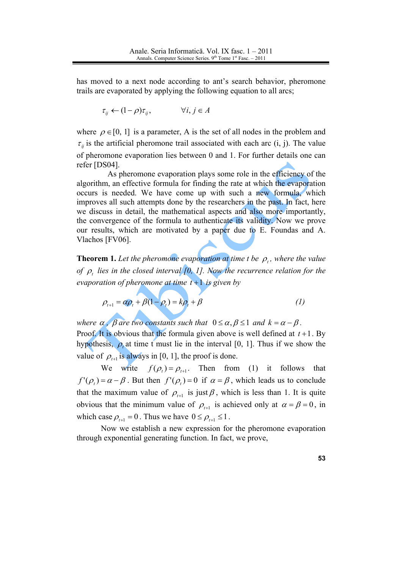has moved to a next node according to ant's search behavior, pheromone trails are evaporated by applying the following equation to all arcs;

$$
\tau_{ij} \leftarrow (1 - \rho)\tau_{ij}, \qquad \forall i, j \in A
$$

where  $\rho \in [0, 1]$  is a parameter, A is the set of all nodes in the problem and  $\tau_{ii}$  is the artificial pheromone trail associated with each arc (i, j). The value of pheromone evaporation lies between 0 and 1. For further details one can refer [DS04].

As pheromone evaporation plays some role in the efficiency of the algorithm, an effective formula for finding the rate at which the evaporation occurs is needed. We have come up with such a new formula, which improves all such attempts done by the researchers in the past. In fact, here we discuss in detail, the mathematical aspects and also more importantly, the convergence of the formula to authenticate its validity. Now we prove our results, which are motivated by a paper due to E. Foundas and A. Vlachos [FV06].

**Theorem 1.** Let the pheromone evaporation at time t be  $\rho$ , where the value of  $\rho_t$  lies in the closed interval [0, 1]. Now the recurrence relation for the evaporation of pheromone at time  $t+1$  is given by

$$
\rho_{t+1} = \alpha \rho_t + \beta (1 - \rho_t) = k \rho_t + \beta \tag{1}
$$

where  $\alpha$ ,  $\beta$  are two constants such that  $0 \le \alpha, \beta \le 1$  and  $k = \alpha - \beta$ . Proof. It is obvious that the formula given above is well defined at  $t+1$ . By hypothesis,  $\rho_t$  at time t must lie in the interval [0, 1]. Thus if we show the value of  $\rho_{t+1}$  is always in [0, 1], the proof is done.

We write  $f(\rho_t) = \rho_{t+1}$ . Then from (1) it follows that  $f'(\rho) = \alpha - \beta$ . But then  $f'(\rho) = 0$  if  $\alpha = \beta$ , which leads us to conclude that the maximum value of  $\rho_{t+1}$  is just  $\beta$ , which is less than 1. It is quite obvious that the minimum value of  $\rho_{t+1}$  is achieved only at  $\alpha = \beta = 0$ , in which case  $\rho_{t+1} = 0$ . Thus we have  $0 \le \rho_{t+1} \le 1$ .

Now we establish a new expression for the pheromone evaporation through exponential generating function. In fact, we prove,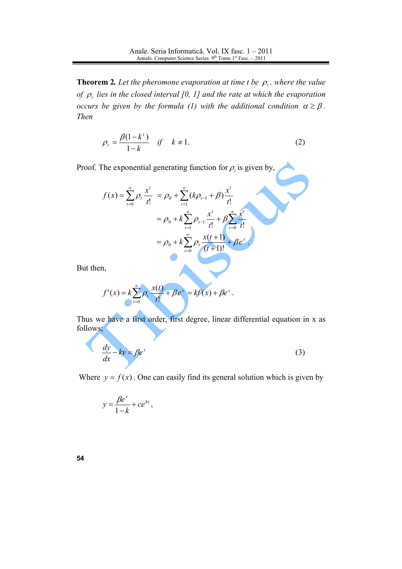**Theorem 2.** Let the pheromone evaporation at time t be  $\rho_t$ , where the value of  $\rho$ , lies in the closed interval [0, 1] and the rate at which the evaporation occurs be given by the formula (1) with the additional condition  $\alpha \geq \beta$ . Then

$$
\rho_t = \frac{\beta(1 - k^t)}{1 - k} \quad \text{if} \quad k \neq 1. \tag{2}
$$

Proof. The exponential generating function for  $\rho_t$  is given by,

$$
f(x) = \sum_{t=0}^{\infty} \rho_t \frac{x^t}{t!} = \rho_0 + \sum_{t=1}^{\infty} (k\rho_{t-1} + \beta) \frac{x^t}{t!}
$$
  
=  $\rho_0 + k \sum_{t=1}^{\infty} \rho_{t-1} \frac{x^t}{t!} + \beta \sum_{t=0}^{\infty} \frac{x^t}{t!}$   
=  $\rho_0 + k \sum_{t=0}^{\infty} \rho_t \frac{x(t+1)}{(t+1)!} + \beta e^x$ .

But then,

$$
f'(x) = k \sum_{t=0}^{\infty} \rho_t \frac{x(t)}{t!} + \beta e^x = kf'(x) + \beta e^x.
$$

Thus we have a first order, first degree, linear differential equation in x as follows;

$$
\frac{dy}{dx} - ky = \beta e^x \tag{3}
$$

Where  $y = f(x)$ . One can easily find its general solution which is given by

$$
y = \frac{\beta e^x}{1 - k} + c e^{kx},
$$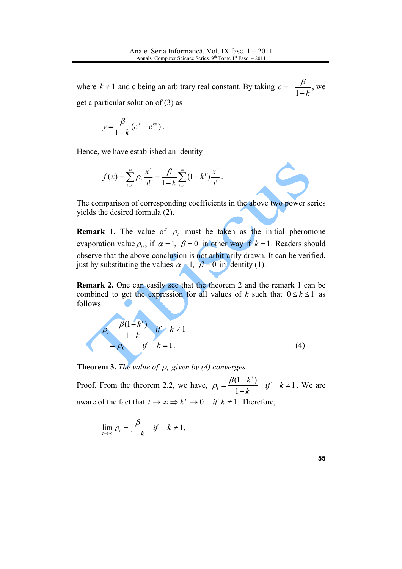where  $k \neq 1$  and c being an arbitrary real constant. By taking  $c = -\frac{\beta}{1-k}$ , we get a particular solution of  $(3)$  as

$$
y=\frac{\beta}{1-k}(e^x-e^{kx}).
$$

Hence, we have established an identity

$$
f(x) = \sum_{t=0}^{\infty} \rho_t \frac{x^t}{t!} = \frac{\beta}{1-k} \sum_{t=0}^{\infty} (1-k^t) \frac{x^t}{t!}.
$$

The comparison of corresponding coefficients in the above two power series yields the desired formula (2).

**Remark 1.** The value of  $\rho$ , must be taken as the initial pheromone evaporation value  $\rho_0$ , if  $\alpha = 1$ ,  $\beta = 0$  in other way if  $k = 1$ . Readers should observe that the above conclusion is not arbitrarily drawn. It can be verified, just by substituting the values  $\alpha = 1$ ,  $\beta = 0$  in identity (1).

**Remark 2.** One can easily see that the theorem 2 and the remark 1 can be combined to get the expression for all values of k such that  $0 \le k \le 1$  as follows:

$$
\rho_t = \frac{\beta(1 - k^t)}{1 - k} \quad \text{if} \quad k \neq 1
$$
\n
$$
= \rho_0 \quad \text{if} \quad k = 1. \tag{4}
$$

**Theorem 3.** The value of  $\rho$ , given by (4) converges.

Proof. From the theorem 2.2, we have,  $\rho_t = \frac{\beta(1 - k^t)}{1 - k}$  if  $k \neq 1$ . We are aware of the fact that  $t \to \infty \Rightarrow k^t \to 0$  if  $k \neq 1$ . Therefore,

$$
\lim_{t \to \infty} \rho_t = \frac{\beta}{1 - k} \quad \text{if} \quad k \neq 1.
$$